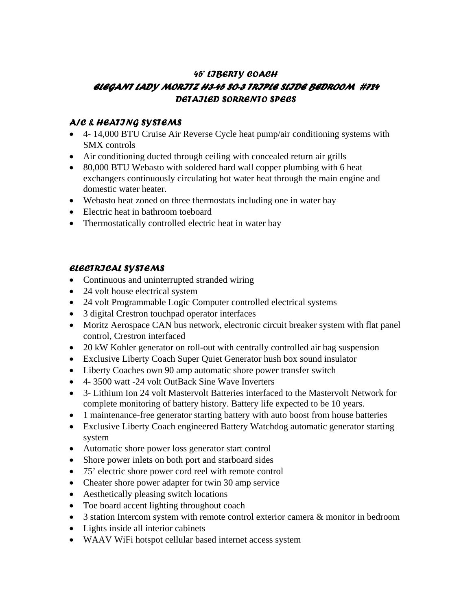# *45' LIBERTY COACH ELEGANT LADY MORITZ H3-45 SO-3 TRIPLE SLIDE BEDROOM #724 DETAILED SORRENTO SPECS*

### *A/C & HEATING SYSTEMS*

- 4- 14,000 BTU Cruise Air Reverse Cycle heat pump/air conditioning systems with SMX controls
- Air conditioning ducted through ceiling with concealed return air grills
- 80,000 BTU Webasto with soldered hard wall copper plumbing with 6 heat exchangers continuously circulating hot water heat through the main engine and domestic water heater.
- Webasto heat zoned on three thermostats including one in water bay
- Electric heat in bathroom toeboard
- Thermostatically controlled electric heat in water bay

### *ELECTRICAL SYSTEMS*

- Continuous and uninterrupted stranded wiring
- 24 volt house electrical system
- 24 volt Programmable Logic Computer controlled electrical systems
- 3 digital Crestron touchpad operator interfaces
- Moritz Aerospace CAN bus network, electronic circuit breaker system with flat panel control, Crestron interfaced
- 20 kW Kohler generator on roll-out with centrally controlled air bag suspension
- Exclusive Liberty Coach Super Quiet Generator hush box sound insulator
- Liberty Coaches own 90 amp automatic shore power transfer switch
- 4- 3500 watt -24 volt OutBack Sine Wave Inverters
- 3- Lithium Ion 24 volt Mastervolt Batteries interfaced to the Mastervolt Network for complete monitoring of battery history. Battery life expected to be 10 years.
- 1 maintenance-free generator starting battery with auto boost from house batteries
- Exclusive Liberty Coach engineered Battery Watchdog automatic generator starting system
- Automatic shore power loss generator start control
- Shore power inlets on both port and starboard sides
- 75' electric shore power cord reel with remote control
- Cheater shore power adapter for twin 30 amp service
- Aesthetically pleasing switch locations
- Toe board accent lighting throughout coach
- 3 station Intercom system with remote control exterior camera & monitor in bedroom
- Lights inside all interior cabinets
- WAAV WiFi hotspot cellular based internet access system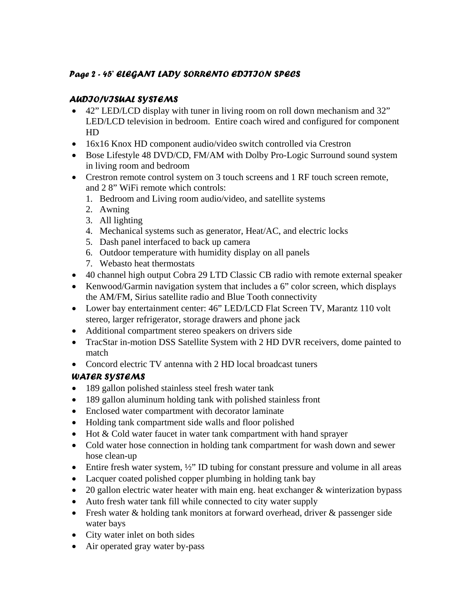# *Page 2 - 45' ELEGANT LADY SORRENTO EDITION SPECS*

# *AUDIO/VISUAL SYSTEMS*

- 42" LED/LCD display with tuner in living room on roll down mechanism and 32" LED/LCD television in bedroom. Entire coach wired and configured for component HD
- 16x16 Knox HD component audio/video switch controlled via Crestron
- Bose Lifestyle 48 DVD/CD, FM/AM with Dolby Pro-Logic Surround sound system in living room and bedroom
- Crestron remote control system on 3 touch screens and 1 RF touch screen remote, and 2 8" WiFi remote which controls:
	- 1. Bedroom and Living room audio/video, and satellite systems
	- 2. Awning
	- 3. All lighting
	- 4. Mechanical systems such as generator, Heat/AC, and electric locks
	- 5. Dash panel interfaced to back up camera
	- 6. Outdoor temperature with humidity display on all panels
	- 7. Webasto heat thermostats
- 40 channel high output Cobra 29 LTD Classic CB radio with remote external speaker
- Kenwood/Garmin navigation system that includes a 6" color screen, which displays the AM/FM, Sirius satellite radio and Blue Tooth connectivity
- Lower bay entertainment center: 46" LED/LCD Flat Screen TV, Marantz 110 volt stereo, larger refrigerator, storage drawers and phone jack
- Additional compartment stereo speakers on drivers side
- TracStar in-motion DSS Satellite System with 2 HD DVR receivers, dome painted to match
- Concord electric TV antenna with 2 HD local broadcast tuners

# *WATER SYSTEMS*

- 189 gallon polished stainless steel fresh water tank
- 189 gallon aluminum holding tank with polished stainless front
- Enclosed water compartment with decorator laminate
- Holding tank compartment side walls and floor polished
- Hot & Cold water faucet in water tank compartment with hand sprayer
- Cold water hose connection in holding tank compartment for wash down and sewer hose clean-up
- $\bullet$  Entire fresh water system,  $\frac{1}{2}$ " ID tubing for constant pressure and volume in all areas
- Lacquer coated polished copper plumbing in holding tank bay
- 20 gallon electric water heater with main eng. heat exchanger & winterization bypass
- Auto fresh water tank fill while connected to city water supply
- Fresh water & holding tank monitors at forward overhead, driver & passenger side water bays
- City water inlet on both sides
- Air operated gray water by-pass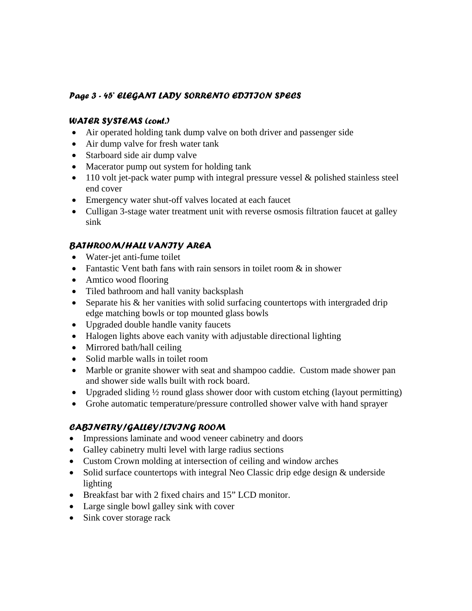### *Page 3 - 45' ELEGANT LADY SORRENTO EDITION SPECS*

#### *WATER SYSTEMS (cont.)*

- Air operated holding tank dump valve on both driver and passenger side
- Air dump valve for fresh water tank
- Starboard side air dump valve
- Macerator pump out system for holding tank
- 110 volt jet-pack water pump with integral pressure vessel & polished stainless steel end cover
- Emergency water shut-off valves located at each faucet
- Culligan 3-stage water treatment unit with reverse osmosis filtration faucet at galley sink

# *BATHROOM/HALL VANITY AREA*

- Water-jet anti-fume toilet
- Fantastic Vent bath fans with rain sensors in toilet room  $\&$  in shower
- Amtico wood flooring
- Tiled bathroom and hall vanity backsplash
- Separate his & her vanities with solid surfacing countertops with intergraded drip edge matching bowls or top mounted glass bowls
- Upgraded double handle vanity faucets
- Halogen lights above each vanity with adjustable directional lighting
- Mirrored bath/hall ceiling
- Solid marble walls in toilet room
- Marble or granite shower with seat and shampoo caddie. Custom made shower pan and shower side walls built with rock board.
- Upgraded sliding  $\frac{1}{2}$  round glass shower door with custom etching (layout permitting)
- Grohe automatic temperature/pressure controlled shower valve with hand sprayer

# *CABINETRY/GALLEY/LIVING ROOM*

- Impressions laminate and wood veneer cabinetry and doors
- Galley cabinetry multi level with large radius sections
- Custom Crown molding at intersection of ceiling and window arches
- Solid surface countertops with integral Neo Classic drip edge design & underside lighting
- Breakfast bar with 2 fixed chairs and 15" LCD monitor.
- Large single bowl galley sink with cover
- Sink cover storage rack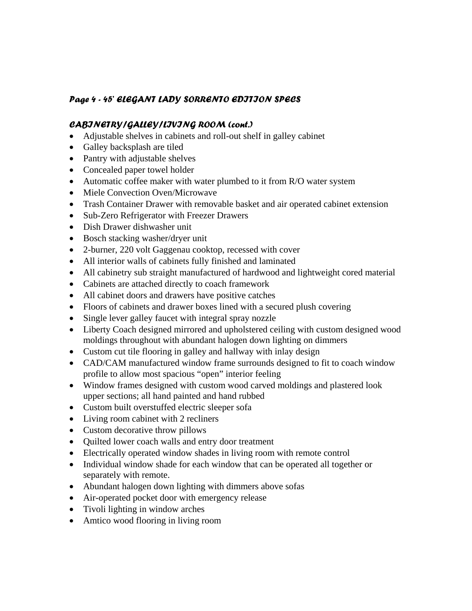### *Page 4 - 45' ELEGANT LADY SORRENTO EDITION SPECS*

#### *CABINETRY/GALLEY/LIVING ROOM (cont.)*

- Adjustable shelves in cabinets and roll-out shelf in galley cabinet
- Galley backsplash are tiled
- Pantry with adjustable shelves
- Concealed paper towel holder
- Automatic coffee maker with water plumbed to it from R/O water system
- Miele Convection Oven/Microwave
- Trash Container Drawer with removable basket and air operated cabinet extension
- Sub-Zero Refrigerator with Freezer Drawers
- Dish Drawer dishwasher unit
- Bosch stacking washer/dryer unit
- 2-burner, 220 volt Gaggenau cooktop, recessed with cover
- All interior walls of cabinets fully finished and laminated
- All cabinetry sub straight manufactured of hardwood and lightweight cored material
- Cabinets are attached directly to coach framework
- All cabinet doors and drawers have positive catches
- Floors of cabinets and drawer boxes lined with a secured plush covering
- Single lever galley faucet with integral spray nozzle
- Liberty Coach designed mirrored and upholstered ceiling with custom designed wood moldings throughout with abundant halogen down lighting on dimmers
- Custom cut tile flooring in galley and hallway with inlay design
- CAD/CAM manufactured window frame surrounds designed to fit to coach window profile to allow most spacious "open" interior feeling
- Window frames designed with custom wood carved moldings and plastered look upper sections; all hand painted and hand rubbed
- Custom built overstuffed electric sleeper sofa
- Living room cabinet with 2 recliners
- Custom decorative throw pillows
- Quilted lower coach walls and entry door treatment
- Electrically operated window shades in living room with remote control
- Individual window shade for each window that can be operated all together or separately with remote.
- Abundant halogen down lighting with dimmers above sofas
- Air-operated pocket door with emergency release
- Tivoli lighting in window arches
- Amtico wood flooring in living room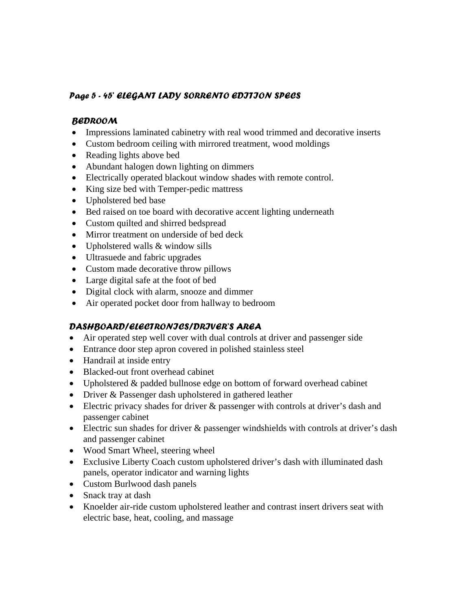### *Page 5 - 45' ELEGANT LADY SORRENTO EDITION SPECS*

#### *BEDROOM*

- Impressions laminated cabinetry with real wood trimmed and decorative inserts
- Custom bedroom ceiling with mirrored treatment, wood moldings
- Reading lights above bed
- Abundant halogen down lighting on dimmers
- Electrically operated blackout window shades with remote control.
- King size bed with Temper-pedic mattress
- Upholstered bed base
- Bed raised on toe board with decorative accent lighting underneath
- Custom quilted and shirred bedspread
- Mirror treatment on underside of bed deck
- Upholstered walls & window sills
- Ultrasuede and fabric upgrades
- Custom made decorative throw pillows
- Large digital safe at the foot of bed
- Digital clock with alarm, snooze and dimmer
- Air operated pocket door from hallway to bedroom

### *DASHBOARD/ELECTRONICS/DRIVER'S AREA*

- Air operated step well cover with dual controls at driver and passenger side
- Entrance door step apron covered in polished stainless steel
- Handrail at inside entry
- Blacked-out front overhead cabinet
- Upholstered & padded bullnose edge on bottom of forward overhead cabinet
- Driver & Passenger dash upholstered in gathered leather
- Electric privacy shades for driver & passenger with controls at driver's dash and passenger cabinet
- Electric sun shades for driver & passenger windshields with controls at driver's dash and passenger cabinet
- Wood Smart Wheel, steering wheel
- Exclusive Liberty Coach custom upholstered driver's dash with illuminated dash panels, operator indicator and warning lights
- Custom Burlwood dash panels
- Snack tray at dash
- Knoelder air-ride custom upholstered leather and contrast insert drivers seat with electric base, heat, cooling, and massage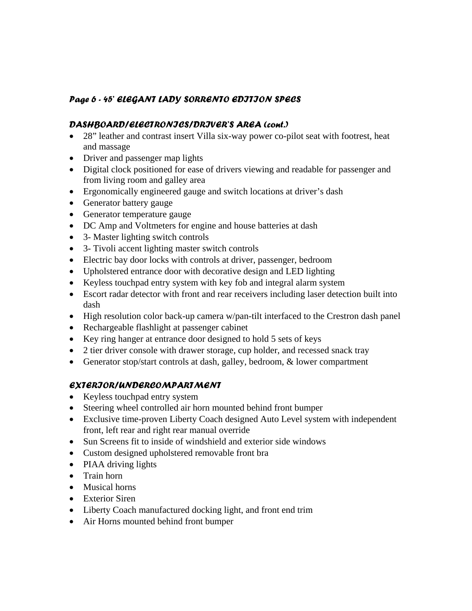# *Page 6 - 45' ELEGANT LADY SORRENTO EDITION SPECS*

#### *DASHBOARD/ELECTRONICS/DRIVER'S AREA (cont.)*

- 28" leather and contrast insert Villa six-way power co-pilot seat with footrest, heat and massage
- Driver and passenger map lights
- Digital clock positioned for ease of drivers viewing and readable for passenger and from living room and galley area
- Ergonomically engineered gauge and switch locations at driver's dash
- Generator battery gauge
- Generator temperature gauge
- DC Amp and Voltmeters for engine and house batteries at dash
- 3- Master lighting switch controls
- 3- Tivoli accent lighting master switch controls
- Electric bay door locks with controls at driver, passenger, bedroom
- Upholstered entrance door with decorative design and LED lighting
- Keyless touchpad entry system with key fob and integral alarm system
- Escort radar detector with front and rear receivers including laser detection built into dash
- High resolution color back-up camera w/pan-tilt interfaced to the Crestron dash panel
- Rechargeable flashlight at passenger cabinet
- Key ring hanger at entrance door designed to hold 5 sets of keys
- 2 tier driver console with drawer storage, cup holder, and recessed snack tray
- Generator stop/start controls at dash, galley, bedroom, & lower compartment

# *EXTERIOR/UNDERCOMPARTMENT*

- Keyless touchpad entry system
- Steering wheel controlled air horn mounted behind front bumper
- Exclusive time-proven Liberty Coach designed Auto Level system with independent front, left rear and right rear manual override
- Sun Screens fit to inside of windshield and exterior side windows
- Custom designed upholstered removable front bra
- PIAA driving lights
- Train horn
- Musical horns
- Exterior Siren
- Liberty Coach manufactured docking light, and front end trim
- Air Horns mounted behind front bumper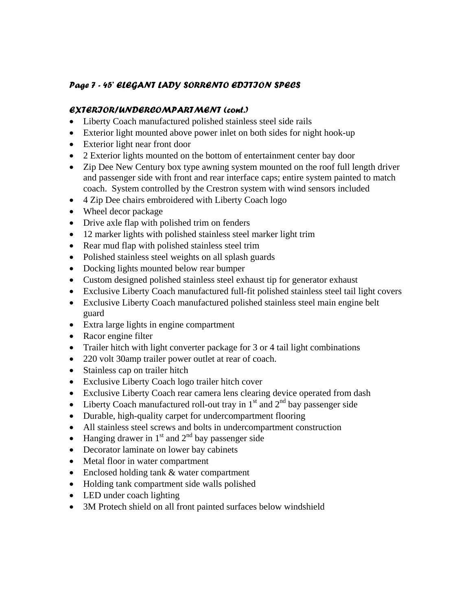# *Page 7 - 45' ELEGANT LADY SORRENTO EDITION SPECS*

#### *EXTERIOR/UNDERCOMPARTMENT (cont.)*

- Liberty Coach manufactured polished stainless steel side rails
- Exterior light mounted above power inlet on both sides for night hook-up
- Exterior light near front door
- 2 Exterior lights mounted on the bottom of entertainment center bay door
- Zip Dee New Century box type awning system mounted on the roof full length driver and passenger side with front and rear interface caps; entire system painted to match coach. System controlled by the Crestron system with wind sensors included
- 4 Zip Dee chairs embroidered with Liberty Coach logo
- Wheel decor package
- Drive axle flap with polished trim on fenders
- 12 marker lights with polished stainless steel marker light trim
- Rear mud flap with polished stainless steel trim
- Polished stainless steel weights on all splash guards
- Docking lights mounted below rear bumper
- Custom designed polished stainless steel exhaust tip for generator exhaust
- Exclusive Liberty Coach manufactured full-fit polished stainless steel tail light covers
- Exclusive Liberty Coach manufactured polished stainless steel main engine belt guard
- Extra large lights in engine compartment
- Racor engine filter
- Trailer hitch with light converter package for 3 or 4 tail light combinations
- 220 volt 30amp trailer power outlet at rear of coach.
- Stainless cap on trailer hitch
- Exclusive Liberty Coach logo trailer hitch cover
- Exclusive Liberty Coach rear camera lens clearing device operated from dash
- Liberty Coach manufactured roll-out tray in  $1<sup>st</sup>$  and  $2<sup>nd</sup>$  bay passenger side
- Durable, high-quality carpet for undercompartment flooring
- All stainless steel screws and bolts in undercompartment construction
- Hanging drawer in  $1<sup>st</sup>$  and  $2<sup>nd</sup>$  bay passenger side
- Decorator laminate on lower bay cabinets
- Metal floor in water compartment
- Enclosed holding tank & water compartment
- Holding tank compartment side walls polished
- LED under coach lighting
- 3M Protech shield on all front painted surfaces below windshield